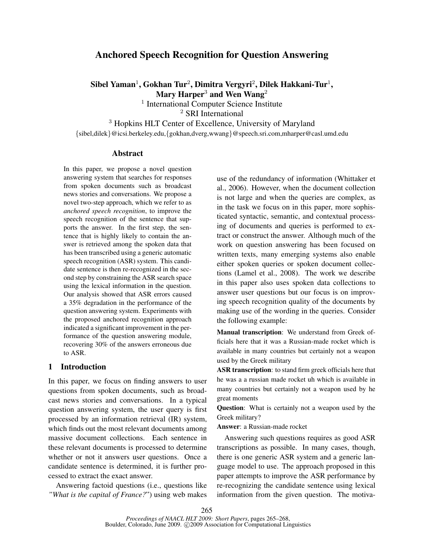# Anchored Speech Recognition for Question Answering

Sibel Yaman $^1$ , Gokhan Tur $^2$ , Dimitra Vergyri $^2$ , Dilek Hakkani-Tur $^1$ , Mary Harper<sup>3</sup> and Wen Wang<sup>2</sup>

> <sup>1</sup> International Computer Science Institute <sup>2</sup> SRI International

<sup>3</sup> Hopkins HLT Center of Excellence, University of Maryland

{sibel,dilek}@icsi.berkeley.edu,{gokhan,dverg,wwang}@speech.sri.com,mharper@casl.umd.edu

# Abstract

In this paper, we propose a novel question answering system that searches for responses from spoken documents such as broadcast news stories and conversations. We propose a novel two-step approach, which we refer to as *anchored speech recognition*, to improve the speech recognition of the sentence that supports the answer. In the first step, the sentence that is highly likely to contain the answer is retrieved among the spoken data that has been transcribed using a generic automatic speech recognition (ASR) system. This candidate sentence is then re-recognized in the second step by constraining the ASR search space using the lexical information in the question. Our analysis showed that ASR errors caused a 35% degradation in the performance of the question answering system. Experiments with the proposed anchored recognition approach indicated a significant improvement in the performance of the question answering module, recovering 30% of the answers erroneous due to ASR.

### 1 Introduction

In this paper, we focus on finding answers to user questions from spoken documents, such as broadcast news stories and conversations. In a typical question answering system, the user query is first processed by an information retrieval (IR) system, which finds out the most relevant documents among massive document collections. Each sentence in these relevant documents is processed to determine whether or not it answers user questions. Once a candidate sentence is determined, it is further processed to extract the exact answer.

Answering factoid questions (i.e., questions like *"What is the capital of France?*") using web makes use of the redundancy of information (Whittaker et al., 2006). However, when the document collection is not large and when the queries are complex, as in the task we focus on in this paper, more sophisticated syntactic, semantic, and contextual processing of documents and queries is performed to extract or construct the answer. Although much of the work on question answering has been focused on written texts, many emerging systems also enable either spoken queries or spoken document collections (Lamel et al., 2008). The work we describe in this paper also uses spoken data collections to answer user questions but our focus is on improving speech recognition quality of the documents by making use of the wording in the queries. Consider the following example:

Manual transcription: We understand from Greek officials here that it was a Russian-made rocket which is available in many countries but certainly not a weapon used by the Greek military

ASR transcription: to stand firm greek officials here that he was a a russian made rocket uh which is available in many countries but certainly not a weapon used by he great moments

Question: What is certainly not a weapon used by the Greek military?

Answer: a Russian-made rocket

Answering such questions requires as good ASR transcriptions as possible. In many cases, though, there is one generic ASR system and a generic language model to use. The approach proposed in this paper attempts to improve the ASR performance by re-recognizing the candidate sentence using lexical information from the given question. The motiva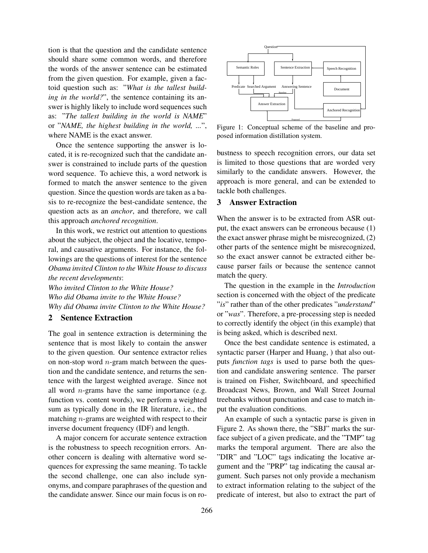tion is that the question and the candidate sentence should share some common words, and therefore the words of the answer sentence can be estimated from the given question. For example, given a factoid question such as: "*What is the tallest building in the world?*", the sentence containing its answer is highly likely to include word sequences such as: "*The tallest building in the world is NAME*" or "*NAME, the highest building in the world, ...*", where NAME is the exact answer.

Once the sentence supporting the answer is located, it is re-recognized such that the candidate answer is constrained to include parts of the question word sequence. To achieve this, a word network is formed to match the answer sentence to the given question. Since the question words are taken as a basis to re-recognize the best-candidate sentence, the question acts as an *anchor*, and therefore, we call this approach *anchored recognition*.

In this work, we restrict out attention to questions about the subject, the object and the locative, temporal, and causative arguments. For instance, the followings are the questions of interest for the sentence *Obama invited Clinton to the White House to discuss the recent developments*:

*Who invited Clinton to the White House? Who did Obama invite to the White House? Why did Obama invite Clinton to the White House?*

#### 2 Sentence Extraction

The goal in sentence extraction is determining the sentence that is most likely to contain the answer to the given question. Our sentence extractor relies on non-stop word  $n$ -gram match between the question and the candidate sentence, and returns the sentence with the largest weighted average. Since not all word  $n$ -grams have the same importance (e.g. function vs. content words), we perform a weighted sum as typically done in the IR literature, i.e., the matching  $n$ -grams are weighted with respect to their inverse document frequency (IDF) and length.

A major concern for accurate sentence extraction is the robustness to speech recognition errors. Another concern is dealing with alternative word sequences for expressing the same meaning. To tackle the second challenge, one can also include synonyms, and compare paraphrases of the question and the candidate answer. Since our main focus is on ro-



Figure 1: Conceptual scheme of the baseline and proposed information distillation system.

bustness to speech recognition errors, our data set is limited to those questions that are worded very similarly to the candidate answers. However, the approach is more general, and can be extended to tackle both challenges.

#### 3 Answer Extraction

When the answer is to be extracted from ASR output, the exact answers can be erroneous because (1) the exact answer phrase might be misrecognized, (2) other parts of the sentence might be misrecognized, so the exact answer cannot be extracted either because parser fails or because the sentence cannot match the query.

The question in the example in the *Introduction* section is concerned with the object of the predicate "*is*" rather than of the other predicates "*understand*" or "*was*". Therefore, a pre-processing step is needed to correctly identify the object (in this example) that is being asked, which is described next.

Once the best candidate sentence is estimated, a syntactic parser (Harper and Huang, ) that also outputs *function tags* is used to parse both the question and candidate answering sentence. The parser is trained on Fisher, Switchboard, and speechified Broadcast News, Brown, and Wall Street Journal treebanks without punctuation and case to match input the evaluation conditions.

An example of such a syntactic parse is given in Figure 2. As shown there, the "SBJ" marks the surface subject of a given predicate, and the "TMP" tag marks the temporal argument. There are also the "DIR" and "LOC" tags indicating the locative argument and the "PRP" tag indicating the causal argument. Such parses not only provide a mechanism to extract information relating to the subject of the predicate of interest, but also to extract the part of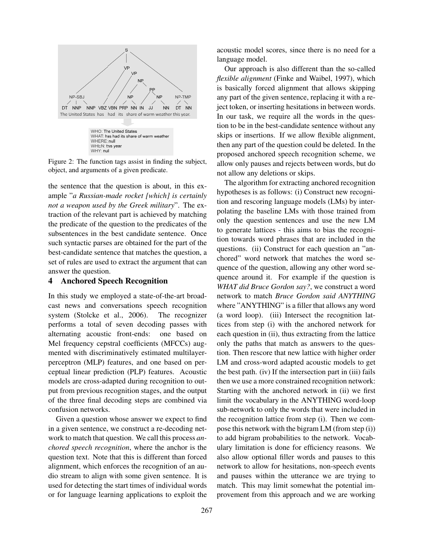

Figure 2: The function tags assist in finding the subject, object, and arguments of a given predicate.

the sentence that the question is about, in this example "*a Russian-made rocket [which] is certainly not a weapon used by the Greek military*". The extraction of the relevant part is achieved by matching the predicate of the question to the predicates of the subsentences in the best candidate sentence. Once such syntactic parses are obtained for the part of the best-candidate sentence that matches the question, a set of rules are used to extract the argument that can answer the question.

# 4 Anchored Speech Recognition

In this study we employed a state-of-the-art broadcast news and conversations speech recognition system (Stolcke et al., 2006). The recognizer performs a total of seven decoding passes with alternating acoustic front-ends: one based on Mel frequency cepstral coefficients (MFCCs) augmented with discriminatively estimated multilayerperceptron (MLP) features, and one based on perceptual linear prediction (PLP) features. Acoustic models are cross-adapted during recognition to output from previous recognition stages, and the output of the three final decoding steps are combined via confusion networks.

Given a question whose answer we expect to find in a given sentence, we construct a re-decoding network to match that question. We call this process *anchored speech recognition*, where the anchor is the question text. Note that this is different than forced alignment, which enforces the recognition of an audio stream to align with some given sentence. It is used for detecting the start times of individual words or for language learning applications to exploit the acoustic model scores, since there is no need for a language model.

Our approach is also different than the so-called *flexible alignment* (Finke and Waibel, 1997), which is basically forced alignment that allows skipping any part of the given sentence, replacing it with a reject token, or inserting hesitations in between words. In our task, we require all the words in the question to be in the best-candidate sentence without any skips or insertions. If we allow flexible alignment, then any part of the question could be deleted. In the proposed anchored speech recognition scheme, we allow only pauses and rejects between words, but do not allow any deletions or skips.

The algorithm for extracting anchored recognition hypotheses is as follows: (i) Construct new recognition and rescoring language models (LMs) by interpolating the baseline LMs with those trained from only the question sentences and use the new LM to generate lattices - this aims to bias the recognition towards word phrases that are included in the questions. (ii) Construct for each question an "anchored" word network that matches the word sequence of the question, allowing any other word sequence around it. For example if the question is *WHAT did Bruce Gordon say?*, we construct a word network to match *Bruce Gordon said ANYTHING* where "ANYTHING" is a filler that allows any word (a word loop). (iii) Intersect the recognition lattices from step (i) with the anchored network for each question in (ii), thus extracting from the lattice only the paths that match as answers to the question. Then rescore that new lattice with higher order LM and cross-word adapted acoustic models to get the best path. (iv) If the intersection part in (iii) fails then we use a more constrained recognition network: Starting with the anchored network in (ii) we first limit the vocabulary in the ANYTHING word-loop sub-network to only the words that were included in the recognition lattice from step (i). Then we compose this network with the bigram LM (from step (i)) to add bigram probabilities to the network. Vocabulary limitation is done for efficiency reasons. We also allow optional filler words and pauses to this network to allow for hesitations, non-speech events and pauses within the utterance we are trying to match. This may limit somewhat the potential improvement from this approach and we are working